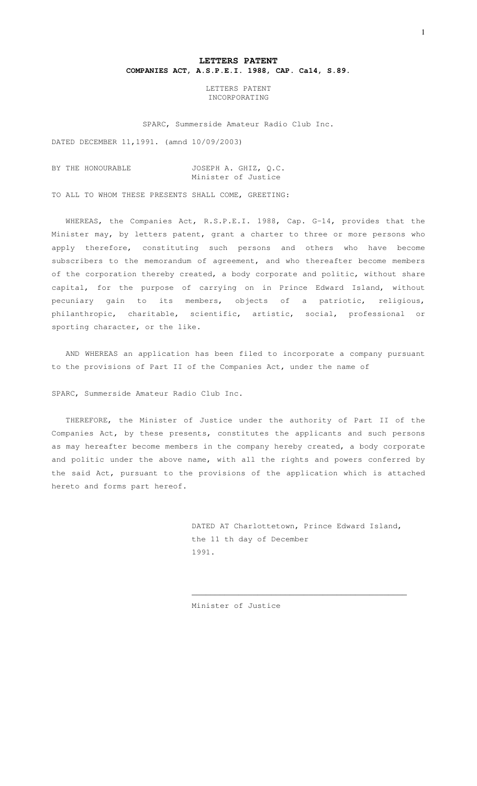## **LETTERS PATENT COMPANIES ACT, A.S.P.E.I. 1988, CAP. Ca14, S.89.**

LETTERS PATENT INCORPORATING

SPARC, Summerside Amateur Radio Club Inc.

DATED DECEMBER 11,1991. (amnd 10/09/2003)

#### BY THE HONOURABLE JOSEPH A. GHIZ, Q.C. Minister of Justice

TO ALL TO WHOM THESE PRESENTS SHALL COME, GREETING:

WHEREAS, the Companies Act, R.S.P.E.I. 1988, Cap. G-14, provides that the Minister may, by letters patent, grant a charter to three or more persons who apply therefore, constituting such persons and others who have become subscribers to the memorandum of agreement, and who thereafter become members of the corporation thereby created, a body corporate and politic, without share capital, for the purpose of carrying on in Prince Edward Island, without pecuniary gain to its members, objects of a patriotic, religious, philanthropic, charitable, scientific, artistic, social, professional or sporting character, or the like.

AND WHEREAS an application has been filed to incorporate a company pursuant to the provisions of Part II of the Companies Act, under the name of

SPARC, Summerside Amateur Radio Club Inc.

THEREFORE, the Minister of Justice under the authority of Part II of the Companies Act, by these presents, constitutes the applicants and such persons as may hereafter become members in the company hereby created, a body corporate and politic under the above name, with all the rights and powers conferred by the said Act, pursuant to the provisions of the application which is attached hereto and forms part hereof.

> DATED AT Charlottetown, Prince Edward Island, the 11 th day of December 1991.

\_\_\_\_\_\_\_\_\_\_\_\_\_\_\_\_\_\_\_\_\_\_\_\_\_\_\_\_\_\_\_\_\_\_\_\_\_\_\_\_\_\_\_\_\_\_

Minister of Justice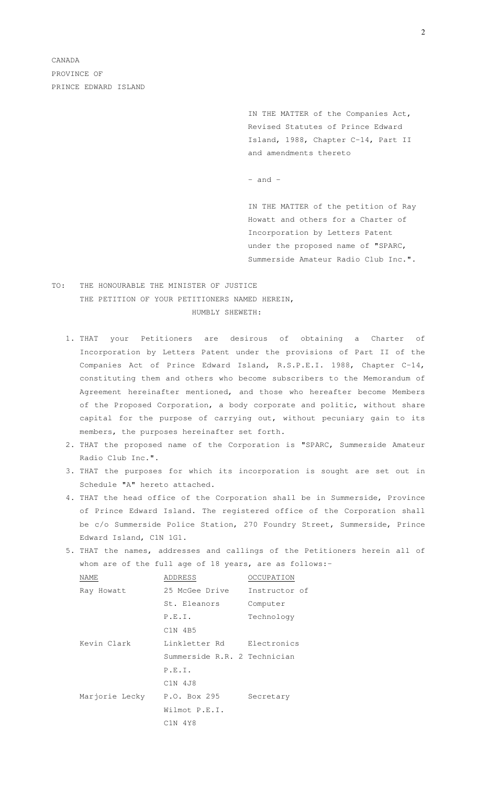> IN THE MATTER of the Companies Act, Revised Statutes of Prince Edward Island, 1988, Chapter C-14, Part II and amendments thereto

 $-$  and  $-$ 

IN THE MATTER of the petition of Ray Howatt and others for a Charter of Incorporation by Letters Patent under the proposed name of "SPARC, Summerside Amateur Radio Club Inc.".

# TO: THE HONOURABLE THE MINISTER OF JUSTICE THE PETITION OF YOUR PETITIONERS NAMED HEREIN, HUMBLY SHEWETH:

- 1. THAT your Petitioners are desirous of obtaining a Charter of Incorporation by Letters Patent under the provisions of Part II of the Companies Act of Prince Edward Island, R.S.P.E.I. 1988, Chapter C-14, constituting them and others who become subscribers to the Memorandum of Agreement hereinafter mentioned, and those who hereafter become Members of the Proposed Corporation, a body corporate and politic, without share capital for the purpose of carrying out, without pecuniary gain to its members, the purposes hereinafter set forth.
- 2. THAT the proposed name of the Corporation is "SPARC, Summerside Amateur Radio Club Inc.".
- 3. THAT the purposes for which its incorporation is sought are set out in Schedule "A" hereto attached.
- 4. THAT the head office of the Corporation shall be in Summerside, Province of Prince Edward Island. The registered office of the Corporation shall be c/o Summerside Police Station, 270 Foundry Street, Summerside, Prince Edward Island, C1N 1G1.
- 5. THAT the names, addresses and callings of the Petitioners herein all of whom are of the full age of 18 years, are as follows:-

| NAME           | ADDRESS                      | OCCUPATION    |
|----------------|------------------------------|---------------|
| Ray Howatt     | 25 McGee Drive               | Instructor of |
|                | St. Eleanors                 | Computer      |
|                | P.E.I.                       | Technology    |
|                | $C1N$ 4B5                    |               |
| Kevin Clark    | Linkletter Rd                | Electronics   |
|                | Summerside R.R. 2 Technician |               |
|                | P.E.I.                       |               |
|                | C1N 4J8                      |               |
| Marjorie Lecky | P.O. Box 295                 | Secretary     |
|                | Wilmot P.E.I.                |               |
|                | C1N 4Y8                      |               |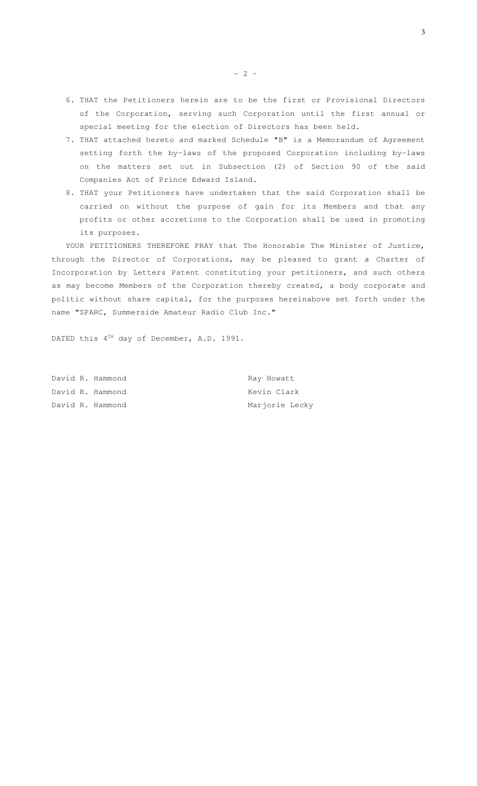- 6. THAT the Petitioners herein are to be the first or Provisional Directors of the Corporation, serving such Corporation until the first annual or special meeting for the election of Directors has been held.
- 7. THAT attached hereto and marked Schedule "B" is a Memorandum of Agreement setting forth the by-laws of the proposed Corporation including by-laws on the matters set out in Subsection (2) of Section 90 of the said Companies Act of Prince Edward Island.
- 8. THAT your Petitioners have undertaken that the said Corporation shall be carried on without the purpose of gain for its Members and that any profits or other accretions to the Corporation shall be used in promoting its purposes.

YOUR PETITIONERS THEREFORE PRAY that The Honorable The Minister of Justice, through the Director of Corporations, may be pleased to grant a Charter of Incorporation by Letters Patent constituting your petitioners, and such others as may become Members of the Corporation thereby created, a body corporate and politic without share capital, for the purposes hereinabove set forth under the name "SPARC, Summerside Amateur Radio Club Inc."

DATED this  $4^{TH}$  day of December, A.D. 1991.

|  | David R. Hammond | Ray Howatt     |
|--|------------------|----------------|
|  | David R. Hammond | Kevin Clark    |
|  | David R. Hammond | Marjorie Lecky |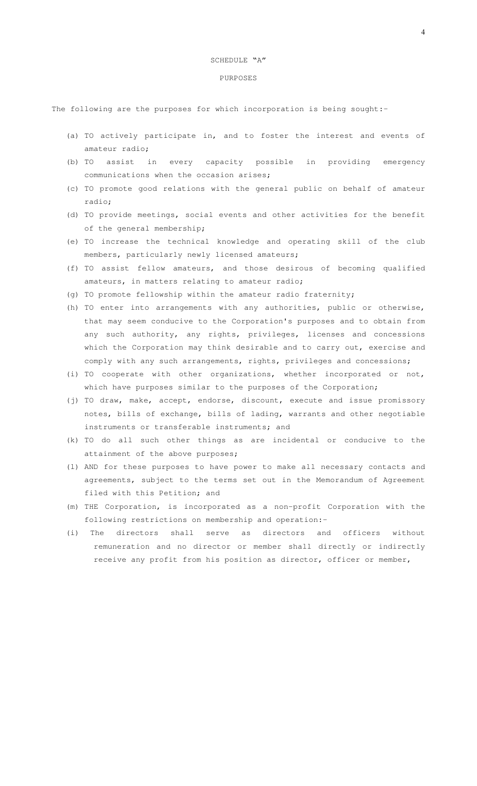#### SCHEDULE "A"

#### PURPOSES

The following are the purposes for which incorporation is being sought:-

- (a) TO actively participate in, and to foster the interest and events of amateur radio;
- (b) TO assist in every capacity possible in providing emergency communications when the occasion arises;
- (c) TO promote good relations with the general public on behalf of amateur radio;
- (d) TO provide meetings, social events and other activities for the benefit of the general membership;
- (e) TO increase the technical knowledge and operating skill of the club members, particularly newly licensed amateurs;
- (f) TO assist fellow amateurs, and those desirous of becoming qualified amateurs, in matters relating to amateur radio;
- (g) TO promote fellowship within the amateur radio fraternity;
- (h) TO enter into arrangements with any authorities, public or otherwise, that may seem conducive to the Corporation's purposes and to obtain from any such authority, any rights, privileges, licenses and concessions which the Corporation may think desirable and to carry out, exercise and comply with any such arrangements, rights, privileges and concessions;
- (i) TO cooperate with other organizations, whether incorporated or not, which have purposes similar to the purposes of the Corporation;
- (j) TO draw, make, accept, endorse, discount, execute and issue promissory notes, bills of exchange, bills of lading, warrants and other negotiable instruments or transferable instruments; and
- (k) TO do all such other things as are incidental or conducive to the attainment of the above purposes;
- (l) AND for these purposes to have power to make all necessary contacts and agreements, subject to the terms set out in the Memorandum of Agreement filed with this Petition; and
- (m) THE Corporation, is incorporated as a non-profit Corporation with the following restrictions on membership and operation:-
- (i) The directors shall serve as directors and officers without remuneration and no director or member shall directly or indirectly receive any profit from his position as director, officer or member,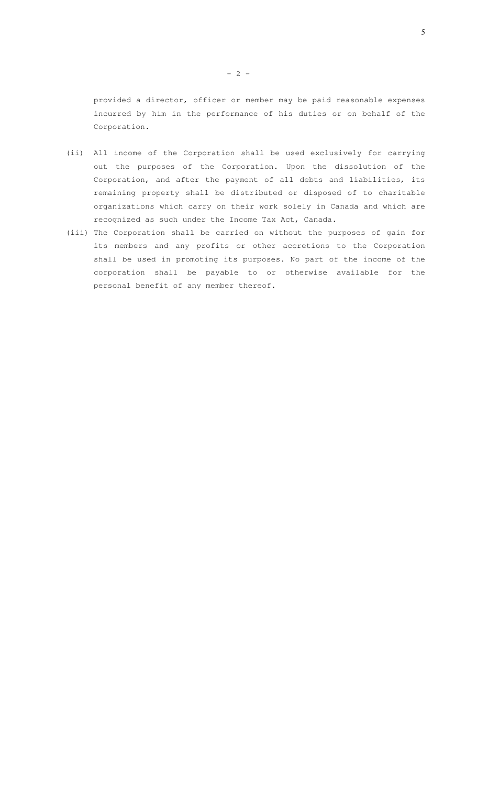provided a director, officer or member may be paid reasonable expenses incurred by him in the performance of his duties or on behalf of the Corporation.

- (ii) All income of the Corporation shall be used exclusively for carrying out the purposes of the Corporation. Upon the dissolution of the Corporation, and after the payment of all debts and liabilities, its remaining property shall be distributed or disposed of to charitable organizations which carry on their work solely in Canada and which are recognized as such under the Income Tax Act, Canada.
- (iii) The Corporation shall be carried on without the purposes of gain for its members and any profits or other accretions to the Corporation shall be used in promoting its purposes. No part of the income of the corporation shall be payable to or otherwise available for the personal benefit of any member thereof.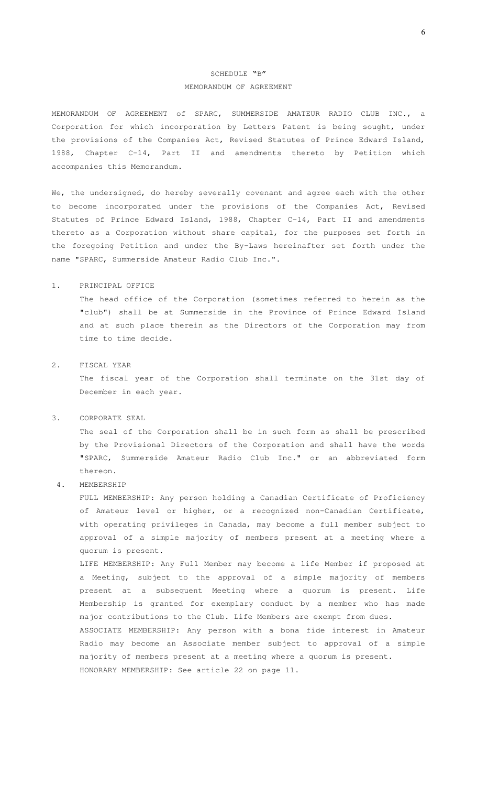# SCHEDULE "B" MEMORANDUM OF AGREEMENT

MEMORANDUM OF AGREEMENT of SPARC, SUMMERSIDE AMATEUR RADIO CLUB INC., a Corporation for which incorporation by Letters Patent is being sought, under the provisions of the Companies Act, Revised Statutes of Prince Edward Island, 1988, Chapter C-14, Part II and amendments thereto by Petition which accompanies this Memorandum.

We, the undersigned, do hereby severally covenant and agree each with the other to become incorporated under the provisions of the Companies Act, Revised Statutes of Prince Edward Island, 1988, Chapter C-l4, Part II and amendments thereto as a Corporation without share capital, for the purposes set forth in the foregoing Petition and under the By-Laws hereinafter set forth under the name "SPARC, Summerside Amateur Radio Club Inc.".

## 1. PRINCIPAL OFFICE

The head office of the Corporation (sometimes referred to herein as the "club") shall be at Summerside in the Province of Prince Edward Island and at such place therein as the Directors of the Corporation may from time to time decide.

## 2. FISCAL YEAR

The fiscal year of the Corporation shall terminate on the 31st day of December in each year.

## 3. CORPORATE SEAL

The seal of the Corporation shall be in such form as shall be prescribed by the Provisional Directors of the Corporation and shall have the words "SPARC, Summerside Amateur Radio Club Inc." or an abbreviated form thereon.

4. MEMBERSHIP

FULL MEMBERSHIP: Any person holding a Canadian Certificate of Proficiency of Amateur level or higher, or a recognized non-Canadian Certificate, with operating privileges in Canada, may become a full member subject to approval of a simple majority of members present at a meeting where a quorum is present.

LIFE MEMBERSHIP: Any Full Member may become a life Member if proposed at a Meeting, subject to the approval of a simple majority of members present at a subsequent Meeting where a quorum is present. Life Membership is granted for exemplary conduct by a member who has made major contributions to the Club. Life Members are exempt from dues. ASSOCIATE MEMBERSHIP: Any person with a bona fide interest in Amateur

Radio may become an Associate member subject to approval of a simple majority of members present at a meeting where a quorum is present. HONORARY MEMBERSHIP: See article 22 on page 11.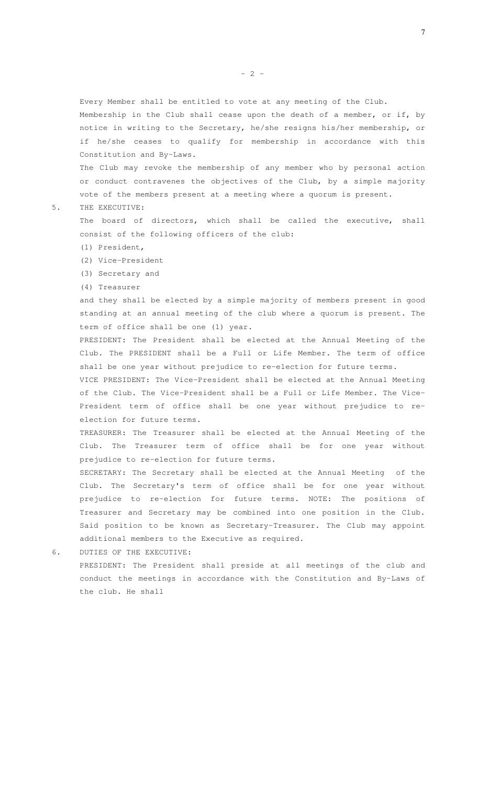Every Member shall be entitled to vote at any meeting of the Club.

Membership in the Club shall cease upon the death of a member, or if, by notice in writing to the Secretary, he/she resigns his/her membership, or if he/she ceases to qualify for membership in accordance with this Constitution and By-Laws.

The Club may revoke the membership of any member who by personal action or conduct contravenes the objectives of the Club, by a simple majority vote of the members present at a meeting where a quorum is present.

5. THE EXECUTIVE:

The board of directors, which shall be called the executive, shall consist of the following officers of the club:

- (1) President,
- (2) Vice-President
- (3) Secretary and
- (4) Treasurer

and they shall be elected by a simple majority of members present in good standing at an annual meeting of the club where a quorum is present. The term of office shall be one (1) year.

PRESIDENT: The President shall be elected at the Annual Meeting of the Club. The PRESIDENT shall be a Full or Life Member. The term of office shall be one year without prejudice to re-election for future terms.

VICE PRESIDENT: The Vice-President shall be elected at the Annual Meeting of the Club. The Vice-President shall be a Full or Life Member. The Vice-President term of office shall be one year without prejudice to reelection for future terms.

TREASURER: The Treasurer shall be elected at the Annual Meeting of the Club. The Treasurer term of office shall be for one year without prejudice to re-election for future terms.

SECRETARY: The Secretary shall be elected at the Annual Meeting of the Club. The Secretary's term of office shall be for one year without prejudice to re-election for future terms. NOTE: The positions of Treasurer and Secretary may be combined into one position in the Club. Said position to be known as Secretary-Treasurer. The Club may appoint additional members to the Executive as required.

6. DUTIES OF THE EXECUTIVE:

PRESIDENT: The President shall preside at all meetings of the club and conduct the meetings in accordance with the Constitution and By-Laws of the club. He shall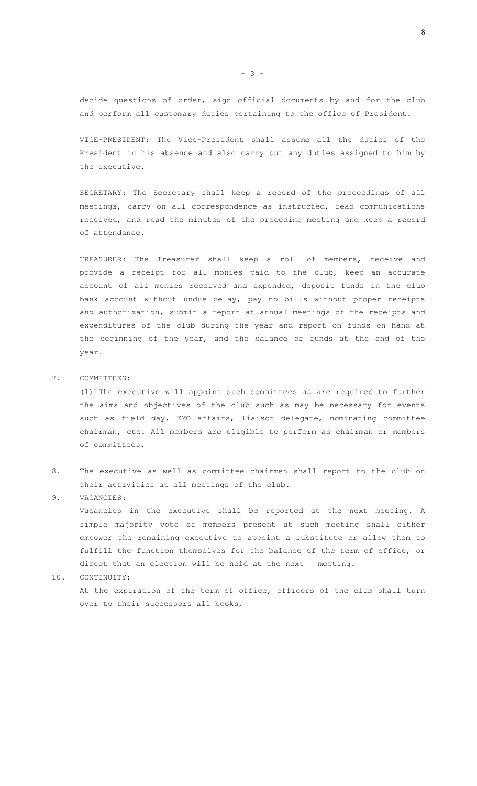decide questions of order, sign official documents by and for the club and perform all customary duties pertaining to the office of President.

VICE-PRESIDENT: The Vice-President shall assume all the duties of the President in his absence and also carry out any duties assigned to him by the executive.

SECRETARY: The Secretary shall keep a record of the proceedings of all meetings, carry on all correspondence as instructed, read communications received, and read the minutes of the preceding meeting and keep a record of attendance.

TREASURER: The Treasurer shall keep a roll of members, receive and provide a receipt for all monies paid to the club, keep an accurate account of all monies received and expended, deposit funds in the club bank account without undue delay, pay no bills without proper receipts and authorization, submit a report at annual meetings of the receipts and expenditures of the club during the year and report on funds on hand at the beginning of the year, and the balance of funds at the end of the year.

#### 7. COMMITTEES:

(1) The executive will appoint such committees as are required to further the aims and objectives of the club such as may be necessary for events such as field day, EMO affairs, liaison delegate, nominating committee chairman, etc. All members are eligible to perform as chairman or members of committees.

8. The executive as well as committee chairmen shall report to the club on their activities at all meetings of the club.

### 9. VACANCIES:

Vacancies in the executive shall be reported at the next meeting. A simple majority vote of members present at such meeting shall either empower the remaining executive to appoint a substitute or allow them to fulfill the function themselves for the balance of the term of office, or direct that an election will be held at the next meeting.

#### 10. CONTINUITY:

At the expiration of the term of office, officers of the club shall turn over to their successors all books,

8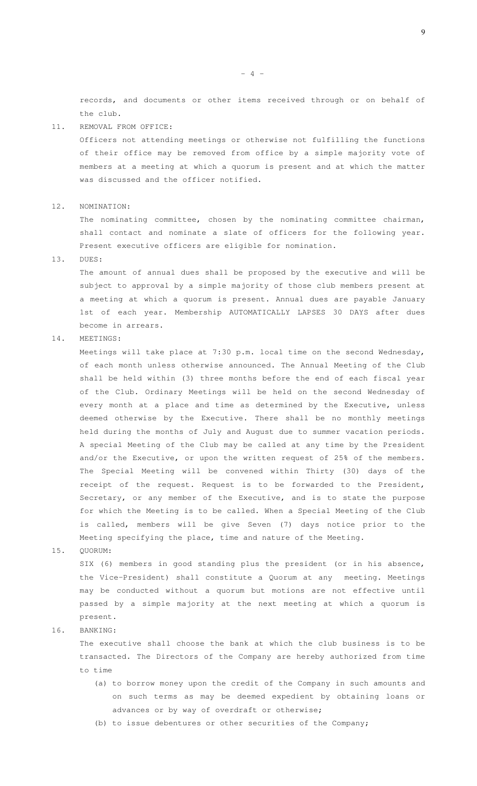records, and documents or other items received through or on behalf of the club.

#### 11. REMOVAL FROM OFFICE:

Officers not attending meetings or otherwise not fulfilling the functions of their office may be removed from office by a simple majority vote of members at a meeting at which a quorum is present and at which the matter was discussed and the officer notified.

#### 12. NOMINATION:

The nominating committee, chosen by the nominating committee chairman, shall contact and nominate a slate of officers for the following year. Present executive officers are eligible for nomination.

13. DUES:

The amount of annual dues shall be proposed by the executive and will be subject to approval by a simple majority of those club members present at a meeting at which a quorum is present. Annual dues are payable January 1st of each year. Membership AUTOMATICALLY LAPSES 30 DAYS after dues become in arrears.

#### 14. MEETINGS:

Meetings will take place at 7:30 p.m. local time on the second Wednesday, of each month unless otherwise announced. The Annual Meeting of the Club shall be held within (3) three months before the end of each fiscal year of the Club. Ordinary Meetings will be held on the second Wednesday of every month at a place and time as determined by the Executive, unless deemed otherwise by the Executive. There shall be no monthly meetings held during the months of July and August due to summer vacation periods. A special Meeting of the Club may be called at any time by the President and/or the Executive, or upon the written request of 25% of the members. The Special Meeting will be convened within Thirty (30) days of the receipt of the request. Request is to be forwarded to the President, Secretary, or any member of the Executive, and is to state the purpose for which the Meeting is to be called. When a Special Meeting of the Club is called, members will be give Seven (7) days notice prior to the Meeting specifying the place, time and nature of the Meeting.

15. QUORUM:

SIX (6) members in good standing plus the president (or in his absence, the Vice-President) shall constitute a Quorum at any meeting. Meetings may be conducted without a quorum but motions are not effective until passed by a simple majority at the next meeting at which a quorum is present.

#### 16. BANKING:

The executive shall choose the bank at which the club business is to be transacted. The Directors of the Company are hereby authorized from time to time

- (a) to borrow money upon the credit of the Company in such amounts and on such terms as may be deemed expedient by obtaining loans or advances or by way of overdraft or otherwise;
- (b) to issue debentures or other securities of the Company;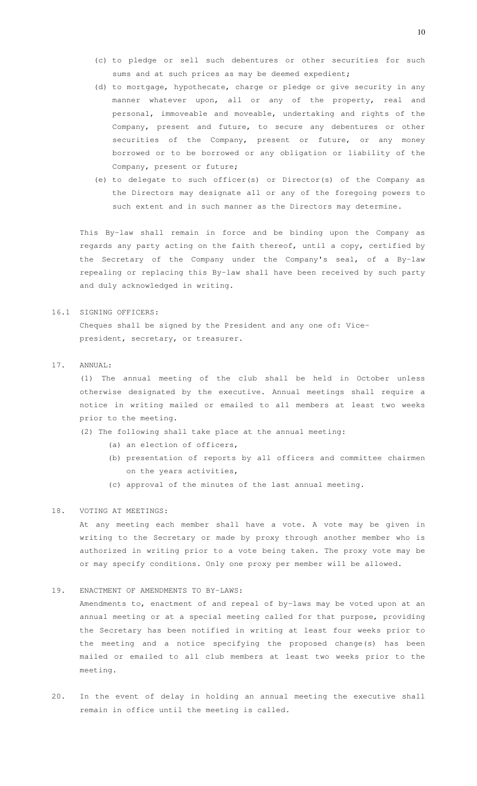- (c) to pledge or sell such debentures or other securities for such sums and at such prices as may be deemed expedient;
- (d) to mortgage, hypothecate, charge or pledge or give security in any manner whatever upon, all or any of the property, real and personal, immoveable and moveable, undertaking and rights of the Company, present and future, to secure any debentures or other securities of the Company, present or future, or any money borrowed or to be borrowed or any obligation or liability of the Company, present or future;
- (e) to delegate to such officer(s) or Director(s) of the Company as the Directors may designate all or any of the foregoing powers to such extent and in such manner as the Directors may determine.

This By-law shall remain in force and be binding upon the Company as regards any party acting on the faith thereof, until a copy, certified by the Secretary of the Company under the Company's seal, of a By-law repealing or replacing this By-law shall have been received by such party and duly acknowledged in writing.

#### 16.1 SIGNING OFFICERS:

Cheques shall be signed by the President and any one of: Vicepresident, secretary, or treasurer.

## 17. ANNUAL:

(1) The annual meeting of the club shall be held in October unless otherwise designated by the executive. Annual meetings shall require a notice in writing mailed or emailed to all members at least two weeks prior to the meeting.

- (2) The following shall take place at the annual meeting:
	- (a) an election of officers,
	- (b) presentation of reports by all officers and committee chairmen on the years activities,
	- (c) approval of the minutes of the last annual meeting.

# 18. VOTING AT MEETINGS:

At any meeting each member shall have a vote. A vote may be given in writing to the Secretary or made by proxy through another member who is authorized in writing prior to a vote being taken. The proxy vote may be or may specify conditions. Only one proxy per member will be allowed.

## 19. ENACTMENT OF AMENDMENTS TO BY-LAWS:

Amendments to, enactment of and repeal of by-laws may be voted upon at an annual meeting or at a special meeting called for that purpose, providing the Secretary has been notified in writing at least four weeks prior to the meeting and a notice specifying the proposed change(s) has been mailed or emailed to all club members at least two weeks prior to the meeting.

20. In the event of delay in holding an annual meeting the executive shall remain in office until the meeting is called.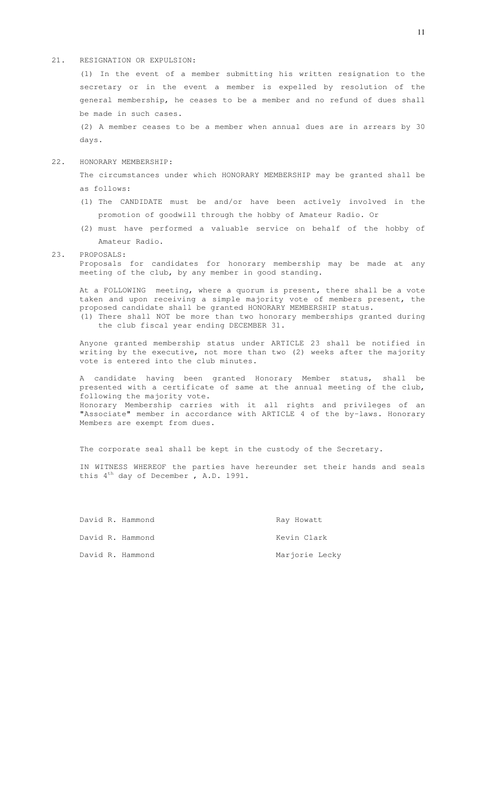#### 21. RESIGNATION OR EXPULSION:

(1) In the event of a member submitting his written resignation to the secretary or in the event a member is expelled by resolution of the general membership, he ceases to be a member and no refund of dues shall be made in such cases.

(2) A member ceases to be a member when annual dues are in arrears by 30 days.

#### 22. HONORARY MEMBERSHIP:

The circumstances under which HONORARY MEMBERSHIP may be granted shall be as follows:

- (1) The CANDIDATE must be and/or have been actively involved in the promotion of goodwill through the hobby of Amateur Radio. Or
- (2) must have performed a valuable service on behalf of the hobby of Amateur Radio.

#### 23. PROPOSALS:

Proposals for candidates for honorary membership may be made at any meeting of the club, by any member in good standing.

At a FOLLOWING meeting, where a quorum is present, there shall be a vote taken and upon receiving a simple majority vote of members present, the proposed candidate shall be granted HONORARY MEMBERSHIP status. (1) There shall NOT be more than two honorary memberships granted during

the club fiscal year ending DECEMBER 31.

Anyone granted membership status under ARTICLE 23 shall be notified in writing by the executive, not more than two (2) weeks after the majority vote is entered into the club minutes.

A candidate having been granted Honorary Member status, shall be presented with a certificate of same at the annual meeting of the club, following the majority vote. Honorary Membership carries with it all rights and privileges of an "Associate" member in accordance with ARTICLE 4 of the by-laws. Honorary Members are exempt from dues.

The corporate seal shall be kept in the custody of the Secretary.

IN WITNESS WHEREOF the parties have hereunder set their hands and seals this  $4^{th}$  day of December, A.D. 1991.

|  | David R. Hammond | Ray Howatt     |
|--|------------------|----------------|
|  | David R. Hammond | Kevin Clark    |
|  | David R. Hammond | Marjorie Lecky |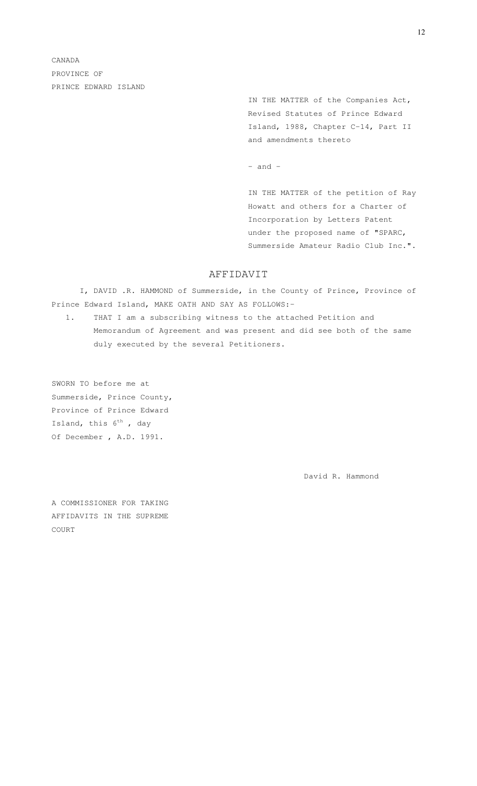> IN THE MATTER of the Companies Act, Revised Statutes of Prince Edward Island, 1988, Chapter C-14, Part II and amendments thereto

 $-$  and  $-$ 

IN THE MATTER of the petition of Ray Howatt and others for a Charter of Incorporation by Letters Patent under the proposed name of "SPARC, Summerside Amateur Radio Club Inc.".

# AFFIDAVIT

I, DAVID .R. HAMMOND of Summerside, in the County of Prince, Province of Prince Edward Island, MAKE OATH AND SAY AS FOLLOWS:-

1. THAT I am a subscribing witness to the attached Petition and Memorandum of Agreement and was present and did see both of the same duly executed by the several Petitioners.

SWORN TO before me at Summerside, Prince County, Province of Prince Edward Island, this  $6^{th}$  , day Of December , A.D. 1991.

David R. Hammond

A COMMISSIONER FOR TAKING AFFIDAVITS IN THE SUPREME COURT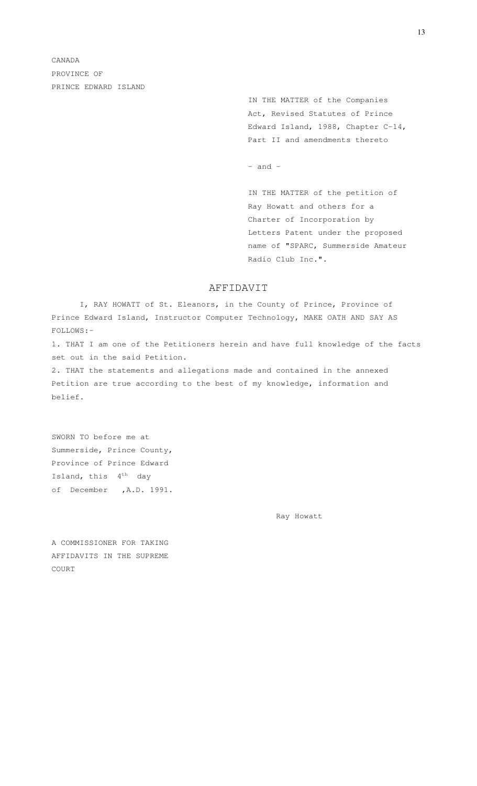> IN THE MATTER of the Companies Act, Revised Statutes of Prince Edward Island, 1988, Chapter C-14, Part II and amendments thereto

 $-$  and  $-$ 

IN THE MATTER of the petition of Ray Howatt and others for a Charter of Incorporation by Letters Patent under the proposed name of "SPARC, Summerside Amateur Radio Club Inc.".

# AFFIDAVIT

I, RAY HOWATT of St. Eleanors, in the County of Prince, Province of Prince Edward Island, Instructor Computer Technology, MAKE OATH AND SAY AS FOLLOWS:-

1. THAT I am one of the Petitioners herein and have full knowledge of the facts set out in the said Petition.

2. THAT the statements and allegations made and contained in the annexed Petition are true according to the best of my knowledge, information and belief.

SWORN TO before me at Summerside, Prince County, Province of Prince Edward Island, this  $4^{th}$  day of December ,A.D. 1991.

Ray Howatt

A COMMISSIONER FOR TAKING AFFIDAVITS IN THE SUPREME COURT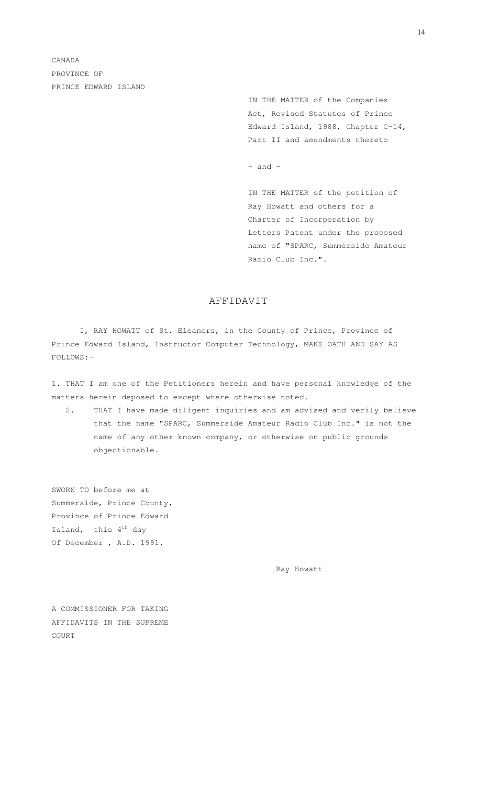> IN THE MATTER of the Companies Act, Revised Statutes of Prince Edward Island, 1988, Chapter C-14, Part II and amendments thereto

 $-$  and  $-$ 

IN THE MATTER of the petition of Ray Howatt and others for a Charter of Incorporation by Letters Patent under the proposed name of "SPARC, Summerside Amateur Radio Club Inc.".

# AFFIDAVIT

I, RAY HOWATT of St. Eleanors, in the County of Prince, Province of Prince Edward Island, Instructor Computer Technology, MAKE OATH AND SAY AS FOLLOWS:-

1. THAT I am one of the Petitioners herein and have personal knowledge of the matters herein deposed to except where otherwise noted.

2. THAT I have made diligent inquiries and am advised and verily believe that the name "SPARC, Summerside Amateur Radio Club Inc." is not the name of any other known company, or otherwise on public grounds objectionable.

SWORN TO before me at Summerside, Prince County, Province of Prince Edward Island, this 4<sup>th</sup> day Of December , A.D. 1991.

Ray Howatt

A COMMISSIONER FOR TAKING AFFIDAVITS IN THE SUPREME COURT